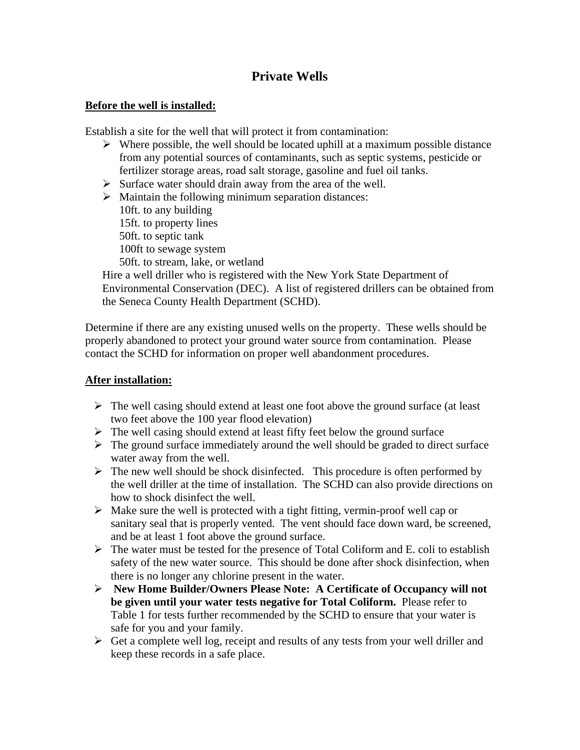## **Private Wells**

## **Before the well is installed:**

Establish a site for the well that will protect it from contamination:

- $\triangleright$  Where possible, the well should be located uphill at a maximum possible distance from any potential sources of contaminants, such as septic systems, pesticide or fertilizer storage areas, road salt storage, gasoline and fuel oil tanks.
- $\triangleright$  Surface water should drain away from the area of the well.
- $\triangleright$  Maintain the following minimum separation distances:

10ft. to any building 15ft. to property lines 50ft. to septic tank 100ft to sewage system 50ft. to stream, lake, or wetland

Hire a well driller who is registered with the New York State Department of Environmental Conservation (DEC). A list of registered drillers can be obtained from the Seneca County Health Department (SCHD).

Determine if there are any existing unused wells on the property. These wells should be properly abandoned to protect your ground water source from contamination. Please contact the SCHD for information on proper well abandonment procedures.

## **After installation:**

- $\triangleright$  The well casing should extend at least one foot above the ground surface (at least two feet above the 100 year flood elevation)
- $\triangleright$  The well casing should extend at least fifty feet below the ground surface
- $\triangleright$  The ground surface immediately around the well should be graded to direct surface water away from the well.
- $\triangleright$  The new well should be shock disinfected. This procedure is often performed by the well driller at the time of installation. The SCHD can also provide directions on how to shock disinfect the well.
- $\triangleright$  Make sure the well is protected with a tight fitting, vermin-proof well cap or sanitary seal that is properly vented. The vent should face down ward, be screened, and be at least 1 foot above the ground surface.
- $\triangleright$  The water must be tested for the presence of Total Coliform and E. coli to establish safety of the new water source. This should be done after shock disinfection, when there is no longer any chlorine present in the water.
- **New Home Builder/Owners Please Note: A Certificate of Occupancy will not be given until your water tests negative for Total Coliform.** Please refer to Table 1 for tests further recommended by the SCHD to ensure that your water is safe for you and your family.
- $\triangleright$  Get a complete well log, receipt and results of any tests from your well driller and keep these records in a safe place.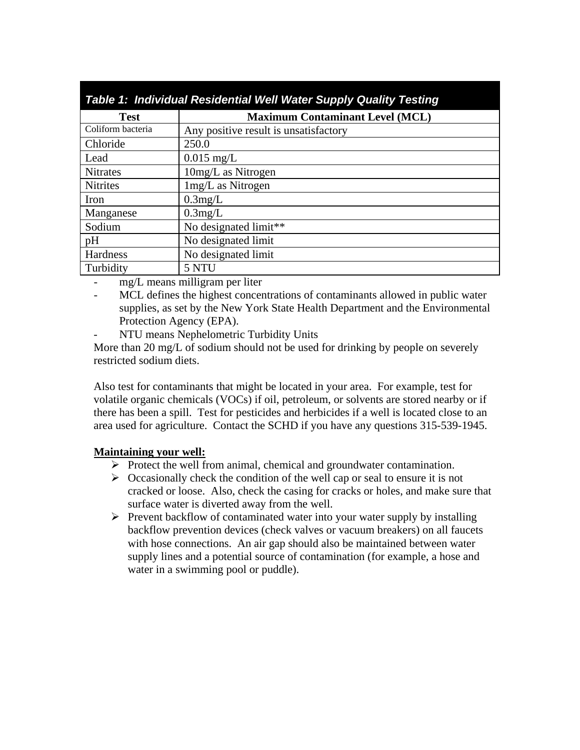| Table 1: Individual Residential Well Water Supply Quality Testing |                                        |
|-------------------------------------------------------------------|----------------------------------------|
| <b>Test</b>                                                       | <b>Maximum Contaminant Level (MCL)</b> |
| Coliform bacteria                                                 | Any positive result is unsatisfactory  |
| Chloride                                                          | 250.0                                  |
| Lead                                                              | $0.015$ mg/L                           |
| <b>Nitrates</b>                                                   | 10mg/L as Nitrogen                     |
| <b>Nitrites</b>                                                   | 1mg/L as Nitrogen                      |
| Iron                                                              | $0.3$ mg/L                             |
| Manganese                                                         | 0.3mg/L                                |
| Sodium                                                            | No designated limit**                  |
| pH                                                                | No designated limit                    |
| Hardness                                                          | No designated limit                    |
| Turbidity                                                         | 5 NTU                                  |

- mg/L means milligram per liter
- MCL defines the highest concentrations of contaminants allowed in public water supplies, as set by the New York State Health Department and the Environmental Protection Agency (EPA).
- NTU means Nephelometric Turbidity Units

More than 20 mg/L of sodium should not be used for drinking by people on severely restricted sodium diets.

Also test for contaminants that might be located in your area. For example, test for volatile organic chemicals (VOCs) if oil, petroleum, or solvents are stored nearby or if there has been a spill. Test for pesticides and herbicides if a well is located close to an area used for agriculture. Contact the SCHD if you have any questions 315-539-1945.

## **Maintaining your well:**

- $\triangleright$  Protect the well from animal, chemical and groundwater contamination.
- $\triangleright$  Occasionally check the condition of the well cap or seal to ensure it is not cracked or loose. Also, check the casing for cracks or holes, and make sure that surface water is diverted away from the well.
- $\triangleright$  Prevent backflow of contaminated water into your water supply by installing backflow prevention devices (check valves or vacuum breakers) on all faucets with hose connections. An air gap should also be maintained between water supply lines and a potential source of contamination (for example, a hose and water in a swimming pool or puddle).